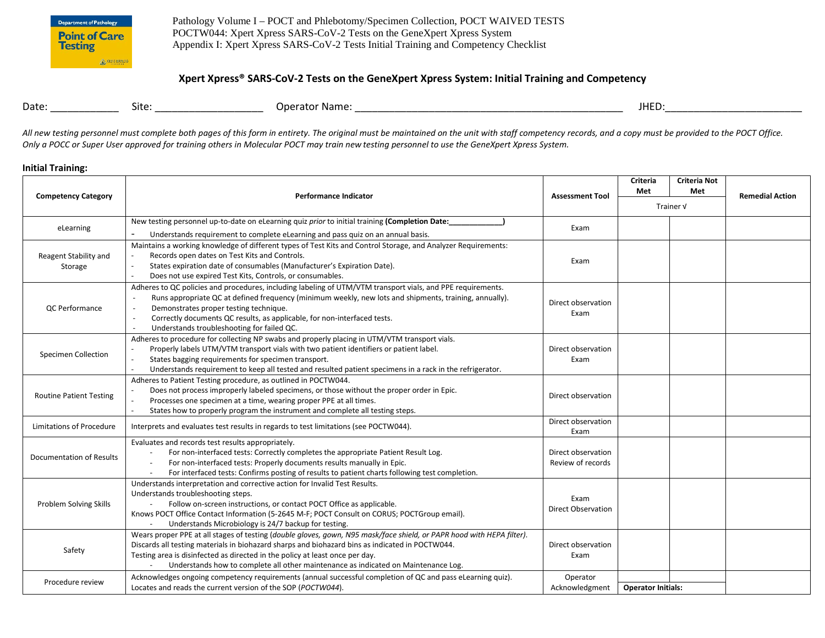

Pathology Volume I – POCT and Phlebotomy/Specimen Collection, POCT WAIVED TESTS POCTW044: Xpert Xpress SARS-CoV-2 Tests on the GeneXpert Xpress System Appendix I: Xpert Xpress SARS-CoV-2 Tests Initial Training and Competency Checklist

# **Xpert Xpress® SARS-CoV-2 Tests on the GeneXpert Xpress System: Initial Training and Competency**

| Date: | site: | Operator Name: | <b>JHEL</b><br>- ' ' ' |
|-------|-------|----------------|------------------------|
|       |       |                |                        |

All new testing personnel must complete both pages of this form in entirety. The original must be maintained on the unit with staff competency records, and a copy must be provided to the POCT Office. *Only a POCC or Super User approved for training others in Molecular POCT may train new testing personnel to use the GeneXpert Xpress System.* 

### **Initial Training:**

|                                  | <b>Performance Indicator</b>                                                                                                                                                                                                                                                                                                                                                                   |                                         | Criteria<br>Met           | <b>Criteria Not</b><br>Met | <b>Remedial Action</b> |
|----------------------------------|------------------------------------------------------------------------------------------------------------------------------------------------------------------------------------------------------------------------------------------------------------------------------------------------------------------------------------------------------------------------------------------------|-----------------------------------------|---------------------------|----------------------------|------------------------|
| <b>Competency Category</b>       |                                                                                                                                                                                                                                                                                                                                                                                                | <b>Assessment Tool</b>                  | Trainer V                 |                            |                        |
| eLearning                        | New testing personnel up-to-date on eLearning quiz prior to initial training (Completion Date:<br>Understands requirement to complete eLearning and pass quiz on an annual basis.                                                                                                                                                                                                              | Exam                                    |                           |                            |                        |
| Reagent Stability and<br>Storage | Maintains a working knowledge of different types of Test Kits and Control Storage, and Analyzer Requirements:<br>Records open dates on Test Kits and Controls.<br>States expiration date of consumables (Manufacturer's Expiration Date).<br>Does not use expired Test Kits, Controls, or consumables.                                                                                         | Exam                                    |                           |                            |                        |
| <b>QC</b> Performance            | Adheres to QC policies and procedures, including labeling of UTM/VTM transport vials, and PPE requirements.<br>Runs appropriate QC at defined frequency (minimum weekly, new lots and shipments, training, annually).<br>Demonstrates proper testing technique.<br>Correctly documents QC results, as applicable, for non-interfaced tests.<br>Understands troubleshooting for failed QC.      | Direct observation<br>Exam              |                           |                            |                        |
| <b>Specimen Collection</b>       | Adheres to procedure for collecting NP swabs and properly placing in UTM/VTM transport vials.<br>Properly labels UTM/VTM transport vials with two patient identifiers or patient label.<br>States bagging requirements for specimen transport.<br>Understands requirement to keep all tested and resulted patient specimens in a rack in the refrigerator.                                     | Direct observation<br>Exam              |                           |                            |                        |
| <b>Routine Patient Testing</b>   | Adheres to Patient Testing procedure, as outlined in POCTW044.<br>Does not process improperly labeled specimens, or those without the proper order in Epic.<br>Processes one specimen at a time, wearing proper PPE at all times.<br>States how to properly program the instrument and complete all testing steps.                                                                             | Direct observation                      |                           |                            |                        |
| Limitations of Procedure         | Interprets and evaluates test results in regards to test limitations (see POCTW044).                                                                                                                                                                                                                                                                                                           | Direct observation<br>Exam              |                           |                            |                        |
| <b>Documentation of Results</b>  | Evaluates and records test results appropriately.<br>For non-interfaced tests: Correctly completes the appropriate Patient Result Log.<br>$\sim$<br>For non-interfaced tests: Properly documents results manually in Epic.<br>$\sim$<br>For interfaced tests: Confirms posting of results to patient charts following test completion.                                                         | Direct observation<br>Review of records |                           |                            |                        |
| Problem Solving Skills           | Understands interpretation and corrective action for Invalid Test Results.<br>Understands troubleshooting steps.<br>Follow on-screen instructions, or contact POCT Office as applicable.<br>Knows POCT Office Contact Information (5-2645 M-F; POCT Consult on CORUS; POCTGroup email).<br>Understands Microbiology is 24/7 backup for testing.<br>$\sim$                                      | Exam<br>Direct Observation              |                           |                            |                        |
| Safety                           | Wears proper PPE at all stages of testing (double gloves, gown, N95 mask/face shield, or PAPR hood with HEPA filter).<br>Discards all testing materials in biohazard sharps and biohazard bins as indicated in POCTW044.<br>Testing area is disinfected as directed in the policy at least once per day.<br>Understands how to complete all other maintenance as indicated on Maintenance Log. | Direct observation<br>Exam              |                           |                            |                        |
| Procedure review                 | Acknowledges ongoing competency requirements (annual successful completion of QC and pass eLearning quiz).<br>Locates and reads the current version of the SOP (POCTW044).                                                                                                                                                                                                                     | Operator<br>Acknowledgment              | <b>Operator Initials:</b> |                            |                        |